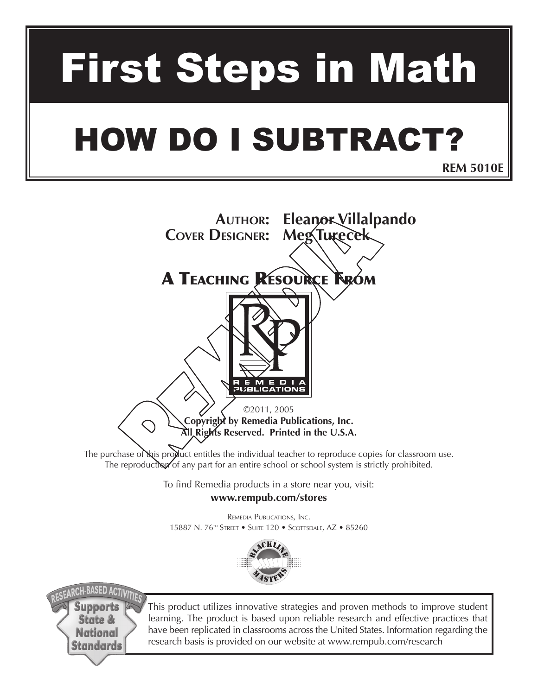# First Steps in Math

## How do I Subtract?

**REM 5010E**

**Author: Eleanor Villalpando Cover Designer: Meg Turecek**

### A Teaching Resource From



©2011, 2005 **Copyright by Remedia Publications, Inc. All Rights Reserved. Printed in the U.S.A.** 

The purchase of this product entitles the individual teacher to reproduce copies for classroom use. The reproduction of any part for an entire school or school system is strictly prohibited.

> To find Remedia products in a store near you, visit: **www.rempub.com/stores**

Remedia Publications, Inc. 15887 N. 76<sup>th</sup> Street • Suite 120 • Scottsdale, AZ • 85260





This product utilizes innovative strategies and proven methods to improve student learning. The product is based upon reliable research and effective practices that have been replicated in classrooms across the United States. Information regarding the research basis is provided on our website at www.rempub.com/research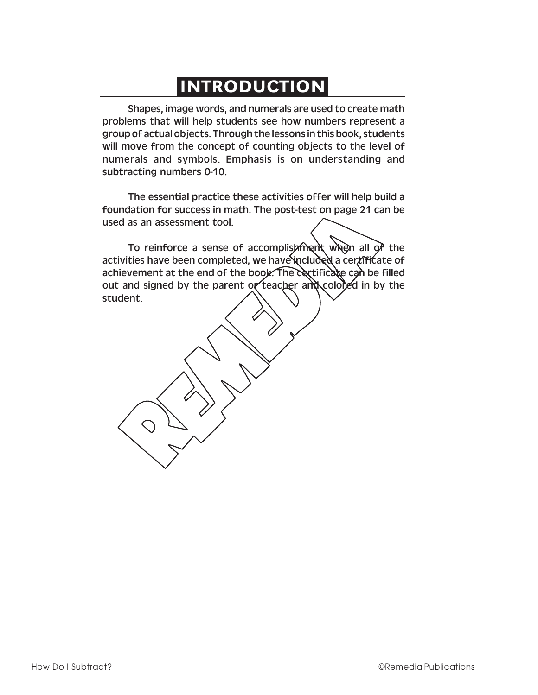## INTRODUCTION

Shapes, image words, and numerals are used to create math problems that will help students see how numbers represent a group of actual objects. Through the lessons in this book, students will move from the concept of counting objects to the level of numerals and symbols. Emphasis is on understanding and subtracting numbers 0-10.

The essential practice these activities offer will help build a foundation for success in math. The post-test on page 21 can be used as an assessment tool.

To reinforce a sense of accomplishment when all of the activities have been completed, we have included a certificate of achievement at the end of the book. The certificate can be filled out and signed by the parent or teacher and colored in by the student.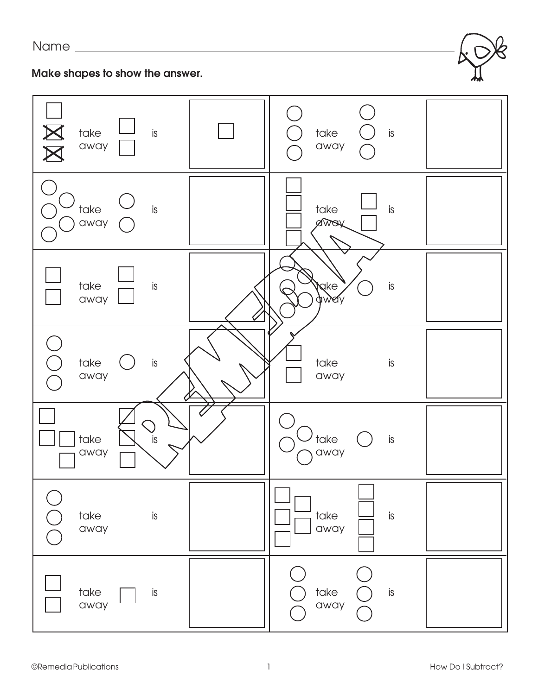#### Name



| $\Delta$<br>take<br>is<br>away | take<br>is<br>away                          |
|--------------------------------|---------------------------------------------|
| $\mathsf{is}$<br>take<br>away  | is<br>take<br>away                          |
| take<br>$\sf{is}$<br>away      | $\mathbb{R}^n$<br>take<br>$i$ s<br>away     |
| take<br>is<br>away             | take<br>is<br>away                          |
| take<br>is<br>away             | $\overline{\phantom{a}}$ take<br>is<br>away |
| take<br>$\mathsf{is}$<br>away  | is<br>take<br>away                          |
| take<br>is<br>away             | take<br>is<br>away                          |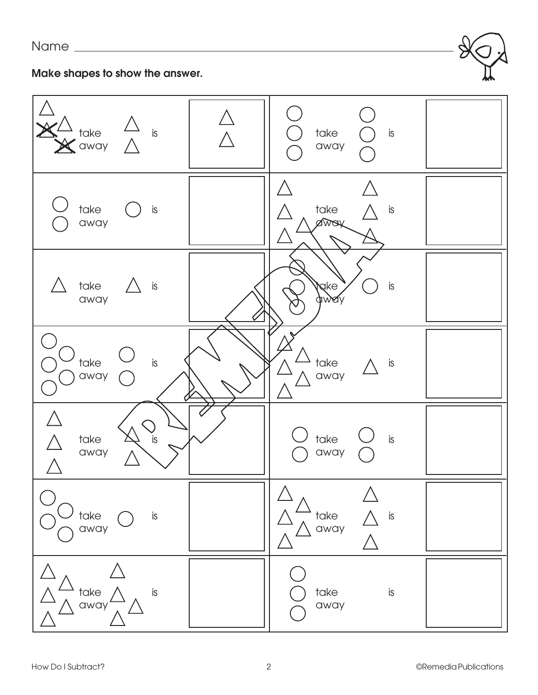

#### **Make shapes to show the answer.**

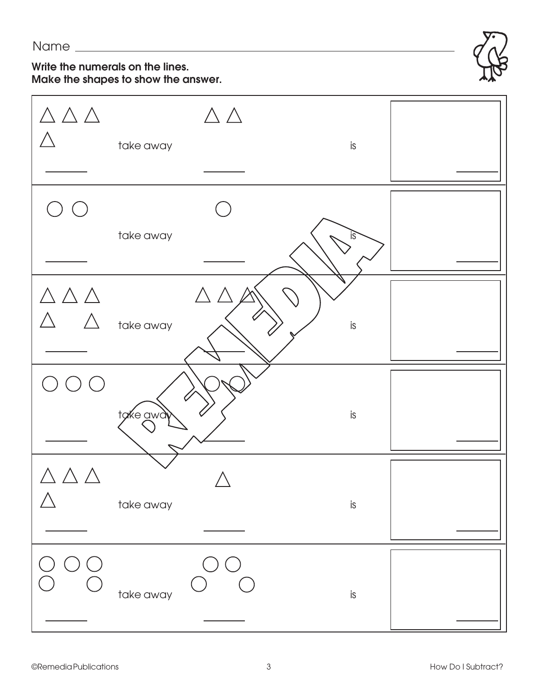#### **Write the numerals on the lines. Make the shapes to show the answer.**



| $\triangle \triangle \triangle$                                     | take away | $\triangle \triangle$           | is |  |
|---------------------------------------------------------------------|-----------|---------------------------------|----|--|
|                                                                     | take away |                                 | is |  |
| $\triangle \, \triangle \, \triangle$<br>$\triangle$<br>$\bigwedge$ | take away | $\triangle \triangle \triangle$ | is |  |
| $(\ )$                                                              | take away | ( )                             | is |  |
|                                                                     | take away |                                 | is |  |
|                                                                     | take away |                                 | is |  |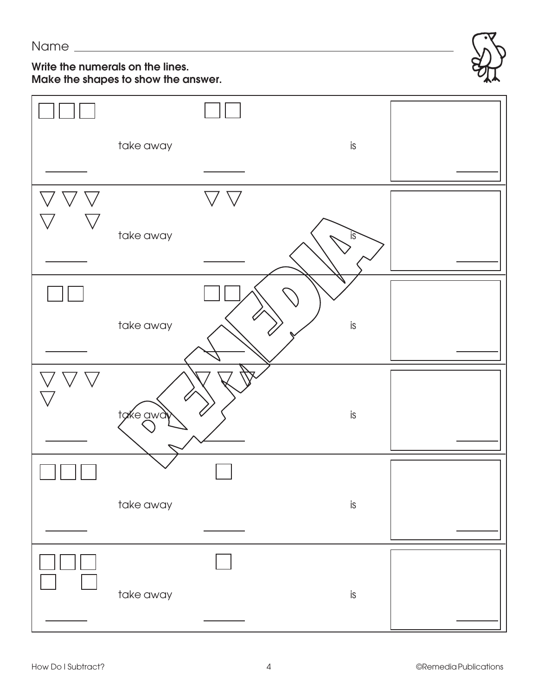#### **Write the numerals on the lines. Make the shapes to show the answer.**



| take away | is        |  |
|-----------|-----------|--|
|           |           |  |
|           |           |  |
| take away | is        |  |
|           |           |  |
|           |           |  |
| take away | $\sf{is}$ |  |
|           |           |  |
|           |           |  |
| take away | is        |  |
|           |           |  |
|           |           |  |
| take away | $\sf{is}$ |  |
|           |           |  |
|           |           |  |
| take away | is        |  |
|           |           |  |